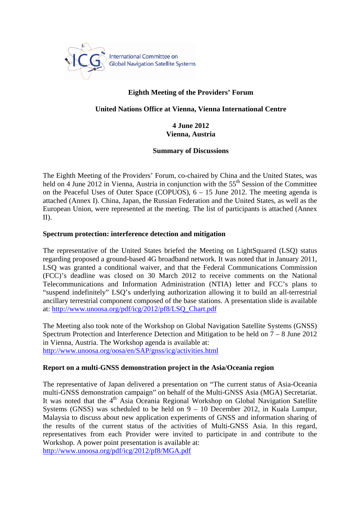

# **Eighth Meeting of the Providers' Forum**

#### **United Nations Office at Vienna, Vienna International Centre**

# **4 June 2012 Vienna, Austria**

#### **Summary of Discussions**

The Eighth Meeting of the Providers' Forum, co-chaired by China and the United States, was held on 4 June 2012 in Vienna, Austria in conjunction with the 55<sup>th</sup> Session of the Committee on the Peaceful Uses of Outer Space (COPUOS), 6 – 15 June 2012. The meeting agenda is attached (Annex I). China, Japan, the Russian Federation and the United States, as well as the European Union, were represented at the meeting. The list of participants is attached (Annex II).

#### **Spectrum protection: interference detection and mitigation**

The representative of the United States briefed the Meeting on LightSquared (LSQ) status regarding proposed a ground-based 4G broadband network. It was noted that in January 2011, LSQ was granted a conditional waiver, and that the Federal Communications Commission (FCC)'s deadline was closed on 30 March 2012 to receive comments on the National Telecommunications and Information Administration (NTIA) letter and FCC's plans to "suspend indefinitely" LSQ's underlying authorization allowing it to build an all-terrestrial ancillary terrestrial component composed of the base stations. A presentation slide is available at: http://www.unoosa.org/pdf/icg/2012/pf8/LSQ\_Chart.pdf

The Meeting also took note of the Workshop on Global Navigation Satellite Systems (GNSS) Spectrum Protection and Interference Detection and Mitigation to be held on 7 – 8 June 2012 in Vienna, Austria. The Workshop agenda is available at: http://www.unoosa.org/oosa/en/SAP/gnss/icg/activities.html

#### **Report on a multi-GNSS demonstration project in the Asia/Oceania region**

The representative of Japan delivered a presentation on "The current status of Asia-Oceania multi-GNSS demonstration campaign" on behalf of the Multi-GNSS Asia (MGA) Secretariat. It was noted that the 4<sup>th</sup> Asia Oceania Regional Workshop on Global Navigation Satellite Systems (GNSS) was scheduled to be held on  $9 - 10$  December 2012, in Kuala Lumpur, Malaysia to discuss about new application experiments of GNSS and information sharing of the results of the current status of the activities of Multi-GNSS Asia. In this regard, representatives from each Provider were invited to participate in and contribute to the Workshop. A power point presentation is available at:

http://www.unoosa.org/pdf/icg/2012/pf8/MGA.pdf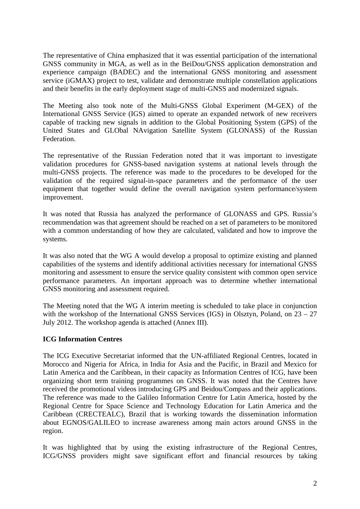The representative of China emphasized that it was essential participation of the international GNSS community in MGA, as well as in the BeiDou/GNSS application demonstration and experience campaign (BADEC) and the international GNSS monitoring and assessment service (iGMAX) project to test, validate and demonstrate multiple constellation applications and their benefits in the early deployment stage of multi-GNSS and modernized signals.

The Meeting also took note of the Multi-GNSS Global Experiment (M-GEX) of the International GNSS Service (IGS) aimed to operate an expanded network of new receivers capable of tracking new signals in addition to the Global Positioning System (GPS) of the United States and GLObal NAvigation Satellite System (GLONASS) of the Russian Federation.

The representative of the Russian Federation noted that it was important to investigate validation procedures for GNSS-based navigation systems at national levels through the multi-GNSS projects. The reference was made to the procedures to be developed for the validation of the required signal-in-space parameters and the performance of the user equipment that together would define the overall navigation system performance/system improvement.

It was noted that Russia has analyzed the performance of GLONASS and GPS. Russia's recommendation was that agreement should be reached on a set of parameters to be monitored with a common understanding of how they are calculated, validated and how to improve the systems.

It was also noted that the WG A would develop a proposal to optimize existing and planned capabilities of the systems and identify additional activities necessary for international GNSS monitoring and assessment to ensure the service quality consistent with common open service performance parameters. An important approach was to determine whether international GNSS monitoring and assessment required.

The Meeting noted that the WG A interim meeting is scheduled to take place in conjunction with the workshop of the International GNSS Services (IGS) in Olsztyn, Poland, on 23 – 27 July 2012. The workshop agenda is attached (Annex III).

# **ICG Information Centres**

The ICG Executive Secretariat informed that the UN-affiliated Regional Centres, located in Morocco and Nigeria for Africa, in India for Asia and the Pacific, in Brazil and Mexico for Latin America and the Caribbean, in their capacity as Information Centres of ICG, have been organizing short term training programmes on GNSS. It was noted that the Centres have received the promotional videos introducing GPS and Beidou/Compass and their applications. The reference was made to the Galileo Information Centre for Latin America, hosted by the Regional Centre for Space Science and Technology Education for Latin America and the Caribbean (CRECTEALC), Brazil that is working towards the dissemination information about EGNOS/GALILEO to increase awareness among main actors around GNSS in the region.

It was highlighted that by using the existing infrastructure of the Regional Centres, ICG/GNSS providers might save significant effort and financial resources by taking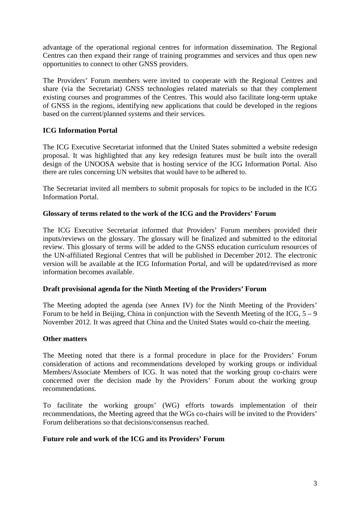advantage of the operational regional centres for information dissemination. The Regional Centres can then expand their range of training programmes and services and thus open new opportunities to connect to other GNSS providers.

The Providers' Forum members were invited to cooperate with the Regional Centres and share (via the Secretariat) GNSS technologies related materials so that they complement existing courses and programmes of the Centres. This would also facilitate long-term uptake of GNSS in the regions, identifying new applications that could be developed in the regions based on the current/planned systems and their services.

# **ICG Information Portal**

The ICG Executive Secretariat informed that the United States submitted a website redesign proposal. It was highlighted that any key redesign features must be built into the overall design of the UNOOSA website that is hosting service of the ICG Information Portal. Also there are rules concerning UN websites that would have to be adhered to.

The Secretariat invited all members to submit proposals for topics to be included in the ICG Information Portal.

# **Glossary of terms related to the work of the ICG and the Providers' Forum**

The ICG Executive Secretariat informed that Providers' Forum members provided their inputs/reviews on the glossary. The glossary will be finalized and submitted to the editorial review. This glossary of terms will be added to the GNSS education curriculum resources of the UN-affiliated Regional Centres that will be published in December 2012. The electronic version will be available at the ICG Information Portal, and will be updated/revised as more information becomes available.

# **Draft provisional agenda for the Ninth Meeting of the Providers' Forum**

The Meeting adopted the agenda (see Annex IV) for the Ninth Meeting of the Providers' Forum to be held in Beijing, China in conjunction with the Seventh Meeting of the ICG,  $5 - 9$ November 2012. It was agreed that China and the United States would co-chair the meeting.

# **Other matters**

The Meeting noted that there is a formal procedure in place for the Providers' Forum consideration of actions and recommendations developed by working groups or individual Members/Associate Members of ICG. It was noted that the working group co-chairs were concerned over the decision made by the Providers' Forum about the working group recommendations.

To facilitate the working groups' (WG) efforts towards implementation of their recommendations, the Meeting agreed that the WGs co-chairs will be invited to the Providers' Forum deliberations so that decisions/consensus reached.

# **Future role and work of the ICG and its Providers' Forum**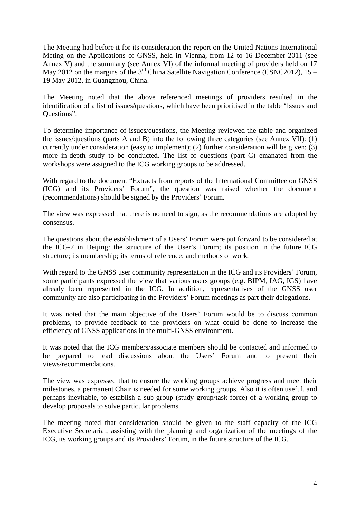The Meeting had before it for its consideration the report on the United Nations International Meting on the Applications of GNSS, held in Vienna, from 12 to 16 December 2011 (see Annex V) and the summary (see Annex VI) of the informal meeting of providers held on 17 May 2012 on the margins of the  $3<sup>rd</sup>$  China Satellite Navigation Conference (CSNC2012), 15 – 19 May 2012, in Guangzhou, China.

The Meeting noted that the above referenced meetings of providers resulted in the identification of a list of issues/questions, which have been prioritised in the table "Issues and Questions".

To determine importance of issues/questions, the Meeting reviewed the table and organized the issues/questions (parts A and B) into the following three categories (see Annex VII): (1) currently under consideration (easy to implement); (2) further consideration will be given; (3) more in-depth study to be conducted. The list of questions (part C) emanated from the workshops were assigned to the ICG working groups to be addressed.

With regard to the document "Extracts from reports of the International Committee on GNSS (ICG) and its Providers' Forum", the question was raised whether the document (recommendations) should be signed by the Providers' Forum.

The view was expressed that there is no need to sign, as the recommendations are adopted by consensus.

The questions about the establishment of a Users' Forum were put forward to be considered at the ICG-7 in Beijing: the structure of the User's Forum; its position in the future ICG structure; its membership; its terms of reference; and methods of work.

With regard to the GNSS user community representation in the ICG and its Providers' Forum, some participants expressed the view that various users groups (e.g. BIPM, IAG, IGS) have already been represented in the ICG. In addition, representatives of the GNSS user community are also participating in the Providers' Forum meetings as part their delegations.

It was noted that the main objective of the Users' Forum would be to discuss common problems, to provide feedback to the providers on what could be done to increase the efficiency of GNSS applications in the multi-GNSS environment.

It was noted that the ICG members/associate members should be contacted and informed to be prepared to lead discussions about the Users' Forum and to present their views/recommendations.

The view was expressed that to ensure the working groups achieve progress and meet their milestones, a permanent Chair is needed for some working groups. Also it is often useful, and perhaps inevitable, to establish a sub-group (study group/task force) of a working group to develop proposals to solve particular problems.

The meeting noted that consideration should be given to the staff capacity of the ICG Executive Secretariat, assisting with the planning and organization of the meetings of the ICG, its working groups and its Providers' Forum, in the future structure of the ICG.